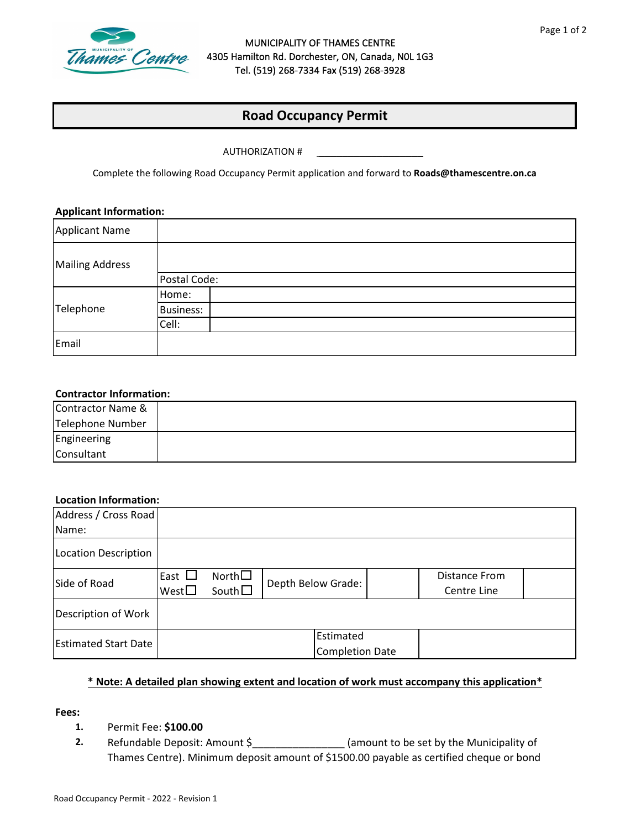

### MUNICIPALITY OF THAMES CENTRE 4305 Hamilton Rd. Dorchester, ON, Canada, N0L 1G3 Tel. (519) 268-7334 Fax (519) 268-3928

# **Road Occupancy Permit**

AUTHORIZATION #

Complete the following Road Occupancy Permit application and forward to **Roads@thamescentre.on.ca**

\_\_\_\_\_\_\_\_\_\_\_\_\_\_\_\_\_\_

#### **Applicant Information:**

| <b>Applicant Name</b>  |                  |
|------------------------|------------------|
| <b>Mailing Address</b> |                  |
|                        | Postal Code:     |
| Telephone              | Home:            |
|                        | <b>Business:</b> |
|                        | Cell:            |
| Email                  |                  |

### **Contractor Information:**

| Contractor Name & |  |
|-------------------|--|
| Telephone Number  |  |
| Engineering       |  |
| Consultant        |  |

### **Location Information:**

| Address / Cross Road        |                |                 |                    |                        |  |               |  |
|-----------------------------|----------------|-----------------|--------------------|------------------------|--|---------------|--|
| Name:                       |                |                 |                    |                        |  |               |  |
| Location Description        |                |                 |                    |                        |  |               |  |
| Side of Road                | East $\Box$    | North $\square$ |                    |                        |  | Distance From |  |
|                             | West $\square$ | South $\square$ | Depth Below Grade: |                        |  | Centre Line   |  |
| Description of Work         |                |                 |                    |                        |  |               |  |
| <b>Estimated Start Date</b> |                |                 | Estimated          |                        |  |               |  |
|                             |                |                 |                    | <b>Completion Date</b> |  |               |  |

### **\* Note: A detailed plan showing extent and location of work must accompany this application\***

**Fees:**

### **1.** Permit Fee: **\$100.00**

**2.**  Refundable Deposit: Amount \$\_\_\_\_\_\_\_\_\_\_\_\_\_\_\_\_\_\_\_\_\_\_\_\_(amount to be set by the Municipality of Thames Centre). Minimum deposit amount of \$1500.00 payable as certified cheque or bond